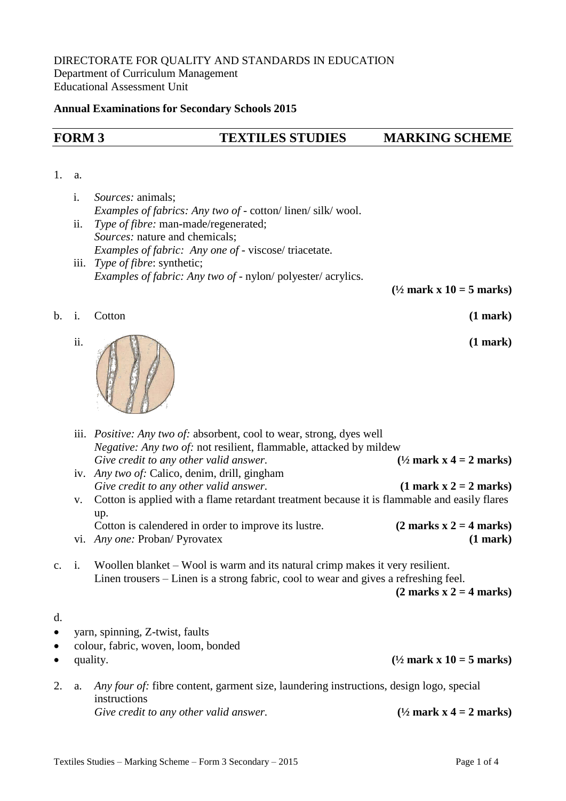## **Annual Examinations for Secondary Schools 2015**

# **FORM 3 TEXTILES STUDIES MARKING SCHEME**

## 1. a.

d.

- i. *Sources:* animals; *Examples of fabrics: Any two of* - cotton/ linen/ silk/ wool. ii. *Type of fibre:* man-made/regenerated;
- *Sources:* nature and chemicals; *Examples of fabric: Any one of* - viscose/ triacetate.
- iii. *Type of fibre*: synthetic; *Examples of fabric: Any two of* - nylon/ polyester/ acrylics.

**(½ mark x 10 = 5 marks)**

#### b. i. Cotton **(1 mark)**





|           | iii. <i>Positive: Any two of:</i> absorbent, cool to wear, strong, dyes well<br><i>Negative: Any two of:</i> not resilient, flammable, attacked by mildew |                                                                                                                                                                       |                                            |  |  |
|-----------|-----------------------------------------------------------------------------------------------------------------------------------------------------------|-----------------------------------------------------------------------------------------------------------------------------------------------------------------------|--------------------------------------------|--|--|
|           |                                                                                                                                                           | Give credit to any other valid answer.                                                                                                                                | $(\frac{1}{2}$ mark x 4 = 2 marks)         |  |  |
|           |                                                                                                                                                           | iv. Any two of: Calico, denim, drill, gingham                                                                                                                         |                                            |  |  |
|           |                                                                                                                                                           | Give credit to any other valid answer.                                                                                                                                | $(1 \text{ mark } x 2 = 2 \text{ marks})$  |  |  |
|           | Cotton is applied with a flame retardant treatment because it is flammable and easily flares<br>V.                                                        |                                                                                                                                                                       |                                            |  |  |
|           |                                                                                                                                                           | up.                                                                                                                                                                   |                                            |  |  |
|           |                                                                                                                                                           | Cotton is calendered in order to improve its lustre.                                                                                                                  | $(2 \text{ marks } x 2 = 4 \text{ marks})$ |  |  |
|           |                                                                                                                                                           | vi. Any one: Proban/ Pyrovatex                                                                                                                                        | $(1$ mark $)$                              |  |  |
|           | c. i.                                                                                                                                                     | Woollen blanket – Wool is warm and its natural crimp makes it very resilient.<br>Linen trousers – Linen is a strong fabric, cool to wear and gives a refreshing feel. | $(2 \text{ marks } x 2 = 4 \text{ marks})$ |  |  |
| d.        |                                                                                                                                                           |                                                                                                                                                                       |                                            |  |  |
| $\bullet$ | yarn, spinning, Z-twist, faults                                                                                                                           |                                                                                                                                                                       |                                            |  |  |
| $\bullet$ |                                                                                                                                                           | colour, fabric, woven, loom, bonded                                                                                                                                   |                                            |  |  |
| $\bullet$ |                                                                                                                                                           | quality.                                                                                                                                                              | $(\frac{1}{2}$ mark x 10 = 5 marks)        |  |  |
|           | a.                                                                                                                                                        | Any four of: fibre content, garment size, laundering instructions, design logo, special<br>instructions                                                               |                                            |  |  |

*Give credit to any other valid answer.* **(½ mark x 4 = 2 marks)**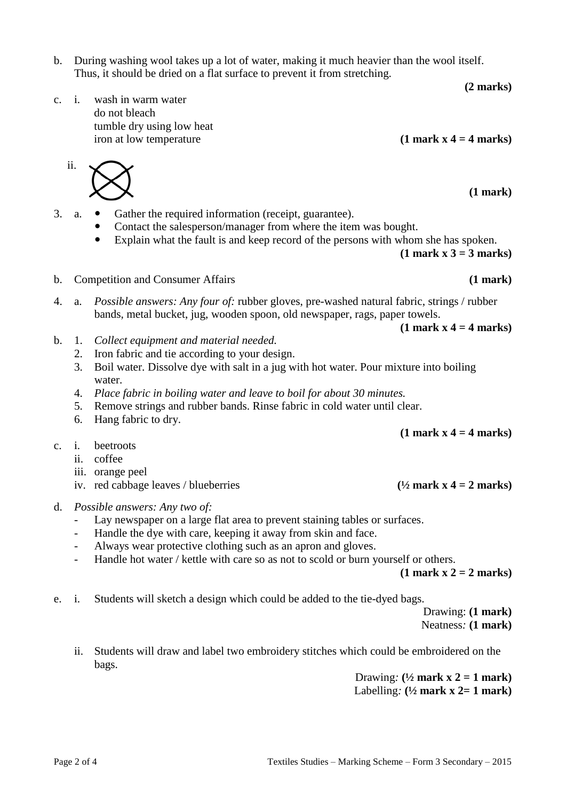- b. During washing wool takes up a lot of water, making it much heavier than the wool itself. Thus, it should be dried on a flat surface to prevent it from stretching.
- c. i. wash in warm water do not bleach tumble dry using low heat iron at low temperature **(1 mark x 4 = 4 marks)**
- 3. a. Gather the required information (receipt, guarantee).
	- Contact the salesperson/manager from where the item was bought.
	- Explain what the fault is and keep record of the persons with whom she has spoken.

**(1 mark x 3 = 3 marks)**

 $(1$  mark  $x$  4 = 4 marks)

- b. Competition and Consumer Affairs **(1 mark)**
- 4. a. *Possible answers: Any four of:* rubber gloves, pre-washed natural fabric, strings / rubber bands, metal bucket, jug, wooden spoon, old newspaper, rags, paper towels.
- b. 1. *Collect equipment and material needed.*
	- 2. Iron fabric and tie according to your design.
	- 3. Boil water. Dissolve dye with salt in a jug with hot water. Pour mixture into boiling water.
	- 4. *Place fabric in boiling water and leave to boil for about 30 minutes.*
	- 5. Remove strings and rubber bands. Rinse fabric in cold water until clear.
	- 6. Hang fabric to dry.
- c. i. beetroots
	- ii. coffee
	- iii. orange peel
	- iv. red cabbage leaves / blueberries  $(1/2 \text{ mark } x \cdot 4 = 2 \text{ marks})$
- d. *Possible answers: Any two of:*
	- Lay newspaper on a large flat area to prevent staining tables or surfaces.
	- Handle the dye with care, keeping it away from skin and face.
	- Always wear protective clothing such as an apron and gloves.
	- Handle hot water / kettle with care so as not to scold or burn yourself or others.

**(1 mark x 2 = 2 marks)**

e. i. Students will sketch a design which could be added to the tie-dyed bags.

Drawing: **(1 mark)** Neatness*:* **(1 mark)**

ii. Students will draw and label two embroidery stitches which could be embroidered on the bags.

> Drawing:  $(\frac{1}{2}$  mark  $x$  2 = 1 mark) Labelling*:* **(½ mark x 2= 1 mark)**

ii.

 **(1 mark)**

**(2 marks)**

**(1 mark x 4 = 4 marks)**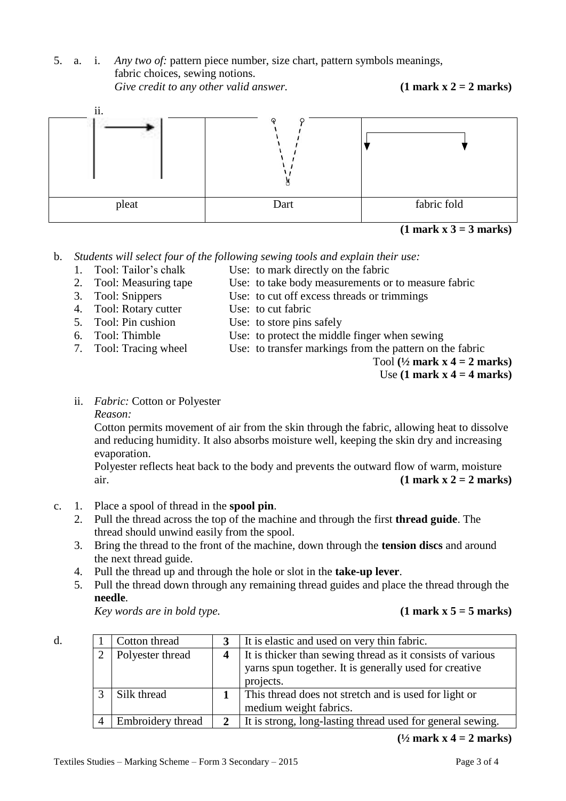5. a. i. *Any two of:* pattern piece number, size chart, pattern symbols meanings, fabric choices, sewing notions.







Straight of grain

b. *Students will select four of the following sewing tools and explain their use:*

- 
- 1. Tool: Tailor's chalk Use: to mark directly on the fabric
- 
- 2. Tool: Measuring tape Use: to take body measurements or to measure fabric
- 3. Tool: Snippers Use: to cut off excess threads or trimmings
- 4. Tool: Rotary cutter Use: to cut fabric
- 5. Tool: Pin cushion Use: to store pins safely
- 6. Tool: Thimble Use: to protect the middle finger when sewing
- 
- 7. Tool: Tracing wheel Use: to transfer markings from the pattern on the fabric
	- Tool **(½ mark x 4 = 2 marks)**

Use **(1 mark x 4 = 4 marks)**

ii. *Fabric:* Cotton or Polyester

## *Reason:*

d.

Cotton permits movement of air from the skin through the fabric, allowing heat to dissolve and reducing humidity. It also absorbs moisture well, keeping the skin dry and increasing evaporation.

Polyester reflects heat back to the body and prevents the outward flow of warm, moisture air. **(1 mark x 2 = 2 marks)** 

- c. 1. Place a spool of thread in the **spool pin**.
	- $\epsilon$ 2. Pull the thread across the top of the machine and through the first **thread guide**. The thread should unwind easily from the spool.
	- n<br>the 3. Bring the thread to the front of the machine, down through the **tension discs** and around the next thread guide.
	- 4. Pull the thread up and through the hole or slot in the **take-up lever**.

1 Cotton thread **3** It is elastic and used on very thin fabric.

projects.

5. Pull the thread down through any remaining thread guides and place the thread through the **needle**.

2 Polyester thread **4** It is thicker than sewing thread as it consists of various

3 Silk thread **1** This thread does not stretch and is used for light or medium weight fabrics.

yarns spun together. It is generally used for creative

*Key words are in bold type.* 

# $(1 \text{ mark } x 5 = 5 \text{ marks})$

 $(1/2$  **mark x** 4 = 2 **marks**)

cut 1<br>Cut 1<br>Cut 1